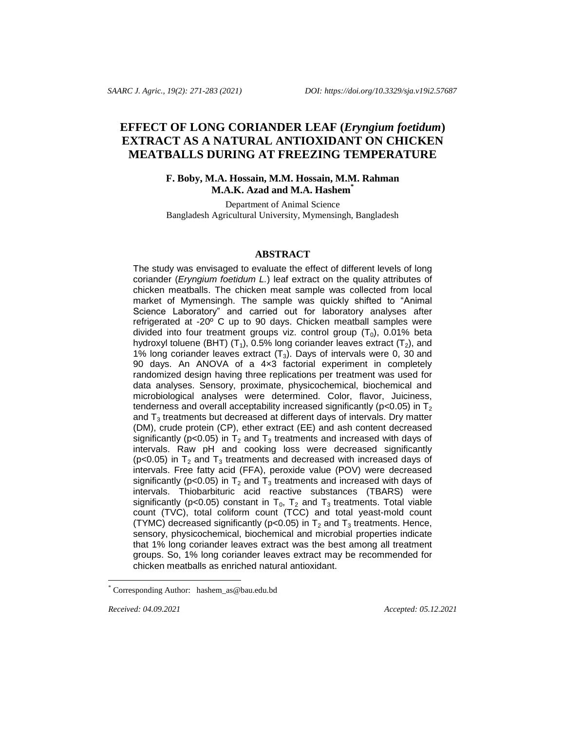# **EFFECT OF LONG CORIANDER LEAF (***Eryngium foetidum***) EXTRACT AS A NATURAL ANTIOXIDANT ON CHICKEN MEATBALLS DURING AT FREEZING TEMPERATURE**

# **F. Boby, M.A. Hossain, M.M. Hossain, M.M. Rahman M.A.K. Azad and M.A. Hashem\***

Department of Animal Science Bangladesh Agricultural University, Mymensingh, Bangladesh

## **ABSTRACT**

The study was envisaged to evaluate the effect of different levels of long coriander (*Eryngium foetidum L.*) leaf extract on the quality attributes of chicken meatballs. The chicken meat sample was collected from local market of Mymensingh. The sample was quickly shifted to "Animal Science Laboratory" and carried out for laboratory analyses after refrigerated at -20º C up to 90 days. Chicken meatball samples were divided into four treatment groups viz. control group  $(T_0)$ , 0.01% beta hydroxyl toluene (BHT)  $(T_1)$ , 0.5% long coriander leaves extract  $(T_2)$ , and 1% long coriander leaves extract  $(T_3)$ . Days of intervals were 0, 30 and 90 days. An ANOVA of a 4x3 factorial experiment in completely randomized design having three replications per treatment was used for data analyses. Sensory, proximate, physicochemical, biochemical and microbiological analyses were determined. Color, flavor, Juiciness, tenderness and overall acceptability increased significantly ( $p < 0.05$ ) in  $T<sub>2</sub>$ and  $T_3$  treatments but decreased at different days of intervals. Dry matter (DM), crude protein (CP), ether extract (EE) and ash content decreased significantly ( $p$ <0.05) in  $T_2$  and  $T_3$  treatments and increased with days of intervals. Raw pH and cooking loss were decreased significantly ( $p$ <0.05) in  $T_2$  and  $T_3$  treatments and decreased with increased days of intervals. Free fatty acid (FFA), peroxide value (POV) were decreased significantly ( $p$ <0.05) in  $T_2$  and  $T_3$  treatments and increased with days of intervals. Thiobarbituric acid reactive substances (TBARS) were significantly (p<0.05) constant in  $T_0$ ,  $T_2$  and  $T_3$  treatments. Total viable count (TVC), total coliform count (TCC) and total yeast-mold count (TYMC) decreased significantly ( $p<0.05$ ) in T<sub>2</sub> and T<sub>3</sub> treatments. Hence, sensory, physicochemical, biochemical and microbial properties indicate that 1% long coriander leaves extract was the best among all treatment groups. So, 1% long coriander leaves extract may be recommended for chicken meatballs as enriched natural antioxidant.

l

*Received: 04.09.2021 Accepted: 05.12.2021* 

Corresponding Author: [hashem\\_as@bau.edu.bd](mailto:hashem_as@bau.edu.bd)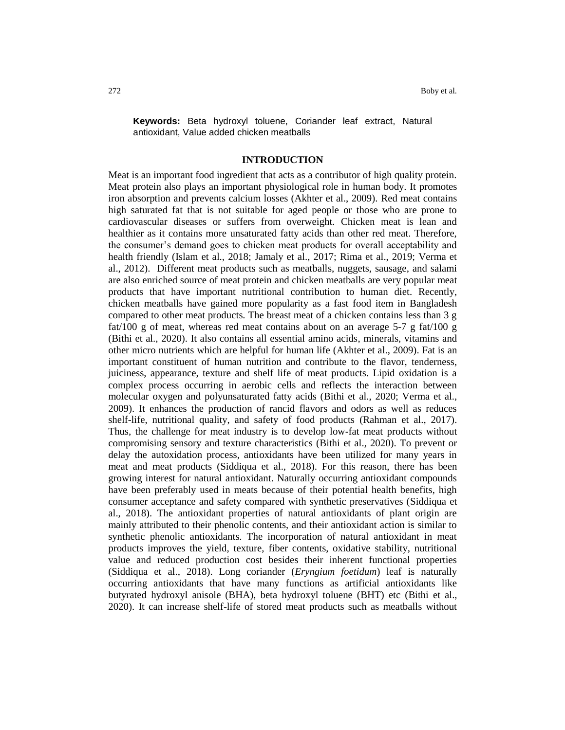**Keywords:** Beta hydroxyl toluene, Coriander leaf extract, Natural antioxidant, Value added chicken meatballs

### **INTRODUCTION**

Meat is an important food ingredient that acts as a contributor of high quality protein. Meat protein also plays an important physiological role in human body. It promotes iron absorption and prevents calcium losses (Akhter et al., 2009). Red meat contains high saturated fat that is not suitable for aged people or those who are prone to cardiovascular diseases or suffers from overweight. Chicken meat is lean and healthier as it contains more unsaturated fatty acids than other red meat. Therefore, the consumer's demand goes to chicken meat products for overall acceptability and health friendly (Islam et al., 2018; Jamaly et al., 2017; Rima et al., 2019; Verma et al., 2012). Different meat products such as meatballs, nuggets, sausage, and salami are also enriched source of meat protein and chicken meatballs are very popular meat products that have important nutritional contribution to human diet. Recently, chicken meatballs have gained more popularity as a fast food item in Bangladesh compared to other meat products. The breast meat of a chicken contains less than 3 g fat/100 g of meat, whereas red meat contains about on an average  $5-7$  g fat/100 g (Bithi et al., 2020). It also contains all essential amino acids, minerals, vitamins and other micro nutrients which are helpful for human life (Akhter et al., 2009). Fat is an important constituent of human nutrition and contribute to the flavor, tenderness, juiciness, appearance, texture and shelf life of meat products. Lipid oxidation is a complex process occurring in aerobic cells and reflects the interaction between molecular oxygen and polyunsaturated fatty acids (Bithi et al., 2020; Verma et al., 2009). It enhances the production of rancid flavors and odors as well as reduces shelf-life, nutritional quality, and safety of food products (Rahman et al., 2017). Thus, the challenge for meat industry is to develop low-fat meat products without compromising sensory and texture characteristics (Bithi et al., 2020). To prevent or delay the autoxidation process, antioxidants have been utilized for many years in meat and meat products (Siddiqua et al., 2018). For this reason, there has been growing interest for natural antioxidant. Naturally occurring antioxidant compounds have been preferably used in meats because of their potential health benefits, high consumer acceptance and safety compared with synthetic preservatives (Siddiqua et al., 2018). The antioxidant properties of natural antioxidants of plant origin are mainly attributed to their phenolic contents, and their antioxidant action is similar to synthetic phenolic antioxidants. The incorporation of natural antioxidant in meat products improves the yield, texture, fiber contents, oxidative stability, nutritional value and reduced production cost besides their inherent functional properties (Siddiqua et al., 2018). Long coriander (*Eryngium foetidum*) leaf is naturally occurring antioxidants that have many functions as artificial antioxidants like butyrated hydroxyl anisole (BHA), beta hydroxyl toluene (BHT) etc (Bithi et al., 2020). It can increase shelf-life of stored meat products such as meatballs without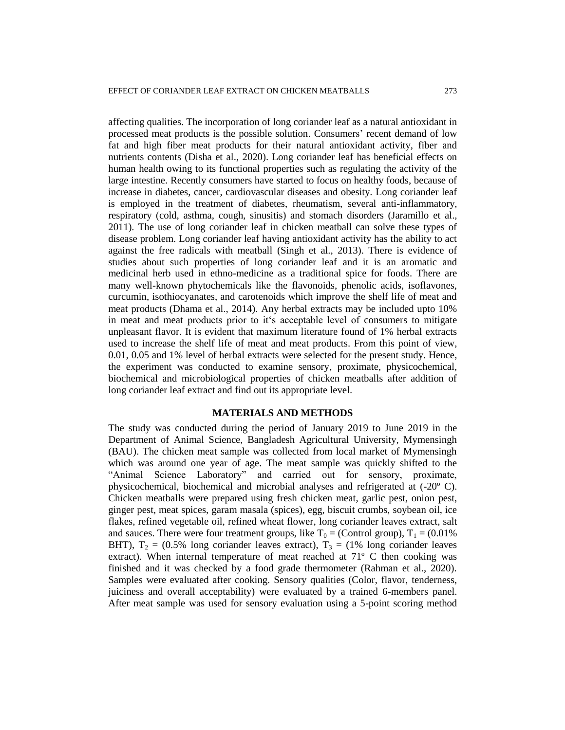affecting qualities. The incorporation of long coriander leaf as a natural antioxidant in processed meat products is the possible solution. Consumers' recent demand of low fat and high fiber meat products for their natural antioxidant activity, fiber and nutrients contents (Disha et al., 2020). Long coriander leaf has beneficial effects on human health owing to its functional properties such as regulating the activity of the large intestine. Recently consumers have started to focus on healthy foods, because of increase in diabetes, cancer, cardiovascular diseases and obesity. Long coriander leaf is employed in the treatment of diabetes, rheumatism, several anti-inflammatory, respiratory (cold, asthma, cough, sinusitis) and stomach disorders (Jaramillo et al., 2011). The use of long coriander leaf in chicken meatball can solve these types of disease problem. Long coriander leaf having antioxidant activity has the ability to act against the free radicals with meatball (Singh et al., 2013). There is evidence of studies about such properties of long coriander leaf and it is an aromatic and medicinal herb used in ethno-medicine as a traditional spice for foods. There are many well-known phytochemicals like the flavonoids, phenolic acids, isoflavones, curcumin, isothiocyanates, and carotenoids which improve the shelf life of meat and meat products (Dhama et al., 2014). Any herbal extracts may be included upto 10% in meat and meat products prior to it's acceptable level of consumers to mitigate unpleasant flavor. It is evident that maximum literature found of 1% herbal extracts used to increase the shelf life of meat and meat products. From this point of view, 0.01, 0.05 and 1% level of herbal extracts were selected for the present study. Hence, the experiment was conducted to examine sensory, proximate, physicochemical, biochemical and microbiological properties of chicken meatballs after addition of long coriander leaf extract and find out its appropriate level.

# **MATERIALS AND METHODS**

The study was conducted during the period of January 2019 to June 2019 in the Department of Animal Science, Bangladesh Agricultural University, Mymensingh (BAU). The chicken meat sample was collected from local market of Mymensingh which was around one year of age. The meat sample was quickly shifted to the "Animal Science Laboratory" and carried out for sensory, proximate, physicochemical, biochemical and microbial analyses and refrigerated at (-20º C). Chicken meatballs were prepared using fresh chicken meat, garlic pest, onion pest, ginger pest, meat spices, garam masala (spices), egg, biscuit crumbs, soybean oil, ice flakes, refined vegetable oil, refined wheat flower, long coriander leaves extract, salt and sauces. There were four treatment groups, like  $T_0 =$  (Control group),  $T_1 = (0.01\%)$ BHT),  $T_2 = (0.5\%$  long coriander leaves extract),  $T_3 = (1\%$  long coriander leaves extract). When internal temperature of meat reached at  $71^{\circ}$  C then cooking was finished and it was checked by a food grade thermometer (Rahman et al., 2020). Samples were evaluated after cooking. Sensory qualities (Color, flavor, tenderness, juiciness and overall acceptability) were evaluated by a trained 6-members panel. After meat sample was used for sensory evaluation using a 5-point scoring method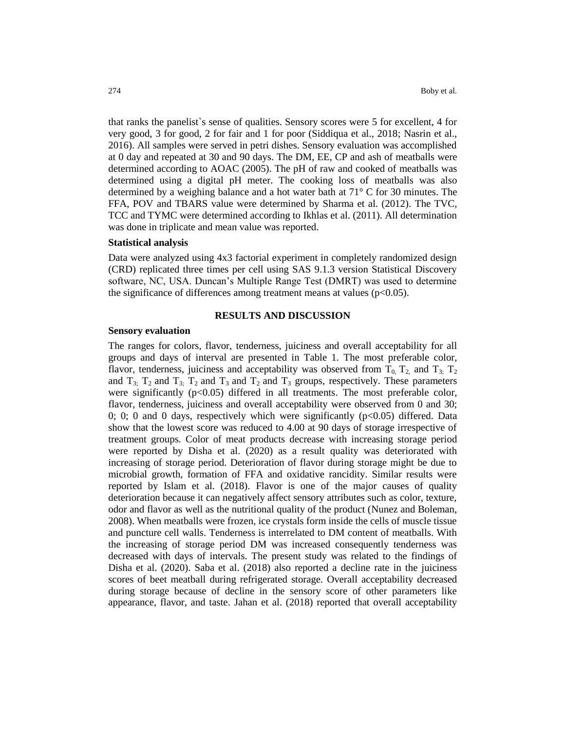that ranks the panelist`s sense of qualities. Sensory scores were 5 for excellent, 4 for very good, 3 for good, 2 for fair and 1 for poor (Siddiqua et al., 2018; Nasrin et al., 2016). All samples were served in petri dishes. Sensory evaluation was accomplished at 0 day and repeated at 30 and 90 days. The DM, EE, CP and ash of meatballs were determined according to AOAC (2005). The pH of raw and cooked of meatballs was determined using a digital pH meter. The cooking loss of meatballs was also determined by a weighing balance and a hot water bath at 71° C for 30 minutes. The FFA, POV and TBARS value were determined by Sharma et al. (2012). The TVC, TCC and TYMC were determined according to Ikhlas et al. (2011). All determination was done in triplicate and mean value was reported.

## **Statistical analysis**

Data were analyzed using 4x3 factorial experiment in completely randomized design (CRD) replicated three times per cell using SAS 9.1.3 version Statistical Discovery software, NC, USA. Duncan's Multiple Range Test (DMRT) was used to determine the significance of differences among treatment means at values  $(p<0.05)$ .

## **RESULTS AND DISCUSSION**

#### **Sensory evaluation**

The ranges for colors, flavor, tenderness, juiciness and overall acceptability for all groups and days of interval are presented in Table 1. The most preferable color, flavor, tenderness, juiciness and acceptability was observed from  $T_0$ ,  $T_2$ , and  $T_3$ ;  $T_2$ and  $T_3$ ;  $T_2$  and  $T_3$ ;  $T_2$  and  $T_3$  and  $T_2$  and  $T_3$  groups, respectively. These parameters were significantly  $(p<0.05)$  differed in all treatments. The most preferable color, flavor, tenderness, juiciness and overall acceptability were observed from 0 and 30; 0; 0; 0 and 0 days, respectively which were significantly  $(p<0.05)$  differed. Data show that the lowest score was reduced to 4.00 at 90 days of storage irrespective of treatment groups. Color of meat products decrease with increasing storage period were reported by Disha et al. (2020) as a result quality was deteriorated with increasing of storage period. Deterioration of flavor during storage might be due to microbial growth, formation of FFA and oxidative rancidity. Similar results were reported by Islam et al. (2018). Flavor is one of the major causes of quality deterioration because it can negatively affect sensory attributes such as color, texture, odor and flavor as well as the nutritional quality of the product (Nunez and Boleman, 2008). When meatballs were frozen, ice crystals form inside the cells of muscle tissue and puncture cell walls. Tenderness is interrelated to DM content of meatballs. With the increasing of storage period DM was increased consequently tenderness was decreased with days of intervals. The present study was related to the findings of Disha et al. (2020). Saba et al. (2018) also reported a decline rate in the juiciness scores of beet meatball during refrigerated storage*.* Overall acceptability decreased during storage because of decline in the sensory score of other parameters like appearance, flavor, and taste. Jahan et al. (2018) reported that overall acceptability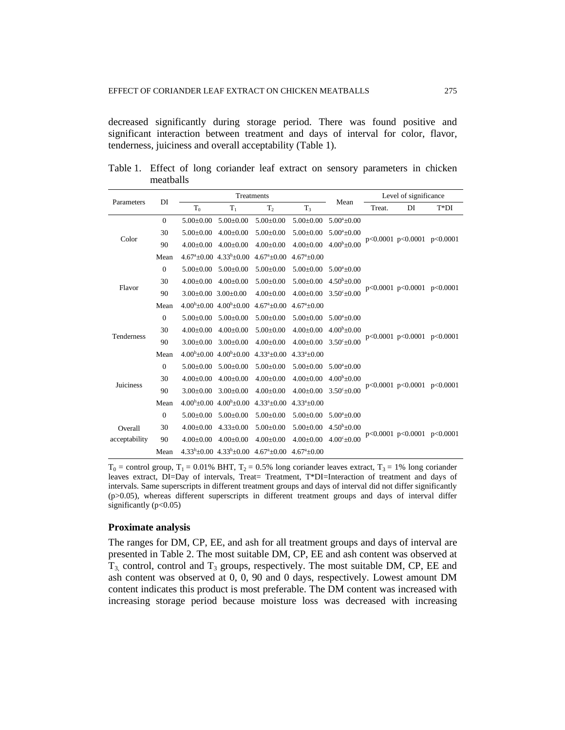decreased significantly during storage period. There was found positive and significant interaction between treatment and days of interval for color, flavor, tenderness, juiciness and overall acceptability (Table 1).

| Parameters                                 | DI           |                             |                                                 | Treatments                 |                            | Mean                  |        | Level of significance<br>$T^*DI$<br>DI<br>p<0.0001 p<0.0001 p<0.0001<br>p<0.0001 p<0.0001 p<0.0001<br>p<0.0001 p<0.0001 p<0.0001 |  |  |
|--------------------------------------------|--------------|-----------------------------|-------------------------------------------------|----------------------------|----------------------------|-----------------------|--------|----------------------------------------------------------------------------------------------------------------------------------|--|--|
|                                            |              | T <sub>0</sub>              | $T_1$                                           | T <sub>2</sub>             | T <sub>3</sub>             |                       | Treat. |                                                                                                                                  |  |  |
|                                            | $\mathbf{0}$ | $5.00+0.00$                 | $5.00 \pm 0.00$                                 | $5.00+0.00$                | $5.00 \pm 0.00$            | $5.00^a \pm 0.00$     |        |                                                                                                                                  |  |  |
|                                            | 30           | $5.00+0.00$                 | $4.00 \pm 0.00$                                 | $5.00 \pm 0.00$            | $5.00 \pm 0.00$            | $5.00^a \pm 0.00$     |        |                                                                                                                                  |  |  |
|                                            | 90           | $4.00+0.00$                 | $4.00+0.00$                                     | $4.00 \pm 0.00$            | $4.00 \pm 0.00$            | $4.00^{b} + 0.00$     |        |                                                                                                                                  |  |  |
| Color<br>Flavor<br>Tenderness<br>Juiciness | Mean         |                             | $4.67^{\circ}$ ±0.00 $4.33^{\circ}$ ±0.00       | $4.67^{\circ}+0.00$        | $4.67^{\mathrm{a}} + 0.00$ |                       |        |                                                                                                                                  |  |  |
|                                            | $\mathbf{0}$ | $5.00 \pm 0.00$             | $5.00 \pm 0.00$                                 | $5.00 \pm 0.00$            | $5.00 \pm 0.00$            | $5.00^a \pm 0.00$     |        |                                                                                                                                  |  |  |
|                                            | 30           | $4.00 \pm 0.00$             | $4.00 \pm 0.00$                                 | $5.00 \pm 0.00$            | $5.00 \pm 0.00$            | $4.50^{\rm b}$ ± 0.00 |        |                                                                                                                                  |  |  |
|                                            | 90           | $3.00\pm0.00$ $3.00\pm0.00$ |                                                 | $4.00 \pm 0.00$            | $4.00 \pm 0.00$            | $3.50^{\circ}$ ±0.00  |        |                                                                                                                                  |  |  |
|                                            | Mean         |                             | $4.00^{b} + 0.00$ $4.00^{b} + 0.00$             | $4.67^{\circ}+0.00$        | $4.67^{\circ}+0.00$        |                       |        |                                                                                                                                  |  |  |
|                                            | $\mathbf{0}$ | $5.00+0.00$                 | $5.00+0.00$                                     | $5.00 \pm 0.00$            | $5.00 \pm 0.00$            | $5.00^{\circ}+0.00$   |        |                                                                                                                                  |  |  |
|                                            | 30           | $4.00 \pm 0.00$             | $4.00 \pm 0.00$                                 | $5.00 \pm 0.00$            | $4.00 \pm 0.00$            | $4.00^{\rm b}$ ±0.00  |        |                                                                                                                                  |  |  |
|                                            | 90           | $3.00 \pm 0.00$             | $3.00 \pm 0.00$                                 | $4.00 \pm 0.00$            | $4.00 \pm 0.00$            | $3.50^{\circ}$ ±0.00  |        |                                                                                                                                  |  |  |
|                                            | Mean         |                             | $4.00^{b} + 0.00$ $4.00^{b} + 0.00$             | $4.33^a \pm 0.00$          | $4.33^a \pm 0.00$          |                       |        |                                                                                                                                  |  |  |
|                                            | $\mathbf{0}$ | $5.00 \pm 0.00$             | $5.00+0.00$                                     | $5.00 \pm 0.00$            | $5.00 \pm 0.00$            | $5.00^{\circ}$ +0.00  |        |                                                                                                                                  |  |  |
|                                            | 30           | $4.00+0.00$                 | $4.00+0.00$                                     | $4.00 \pm 0.00$            | $4.00 \pm 0.00$            | $4.00^{\rm b}$ ±0.00  |        |                                                                                                                                  |  |  |
|                                            | 90           | $3.00 \pm 0.00$             | $3.00 \pm 0.00$                                 | $4.00 \pm 0.00$            | $4.00 \pm 0.00$            | $3.50^{\circ}$ ±0.00  |        | p<0.0001 p<0.0001 p<0.0001                                                                                                       |  |  |
|                                            | Mean         |                             | $4.00^{\rm b} \pm 0.00$ $4.00^{\rm b} \pm 0.00$ | $4.33^a \pm 0.00$          | $4.33^a \pm 0.00$          |                       |        |                                                                                                                                  |  |  |
|                                            | $\mathbf{0}$ | $5.00 \pm 0.00$             | $5.00 \pm 0.00$                                 | $5.00 \pm 0.00$            | $5.00 \pm 0.00$            | $5.00^a \pm 0.00$     |        |                                                                                                                                  |  |  |
| Overall                                    | 30           | $4.00 \pm 0.00$             | $4.33 \pm 0.00$                                 | $5.00 \pm 0.00$            | $5.00 \pm 0.00$            | $4.50^{b} \pm 0.00$   |        |                                                                                                                                  |  |  |
| acceptability                              | 90           | $4.00 \pm 0.00$             | $4.00+0.00$                                     | $4.00 \pm 0.00$            | $4.00 \pm 0.00$            | $4.00^{\circ}$ ± 0.00 |        | p<0.0001 p<0.0001 p<0.0001                                                                                                       |  |  |
|                                            | Mean         |                             | $4.33b+0.00$ $4.33b+0.00$                       | $4.67^{\mathrm{a}} + 0.00$ | $4.67^{\circ}+0.00$        |                       |        |                                                                                                                                  |  |  |

Table 1. Effect of long coriander leaf extract on sensory parameters in chicken meatballs

 $T_0$  = control group,  $T_1$  = 0.01% BHT,  $T_2$  = 0.5% long coriander leaves extract,  $T_3$  = 1% long coriander leaves extract, DI=Day of intervals, Treat= Treatment, T\*DI=Interaction of treatment and days of intervals. Same superscripts in different treatment groups and days of interval did not differ significantly (p>0.05), whereas different superscripts in different treatment groups and days of interval differ significantly (p<0.05)

# **Proximate analysis**

The ranges for DM, CP, EE, and ash for all treatment groups and days of interval are presented in Table 2. The most suitable DM, CP, EE and ash content was observed at  $T_3$  control, control and  $T_3$  groups, respectively. The most suitable DM, CP, EE and ash content was observed at 0, 0, 90 and 0 days, respectively. Lowest amount DM content indicates this product is most preferable. The DM content was increased with increasing storage period because moisture loss was decreased with increasing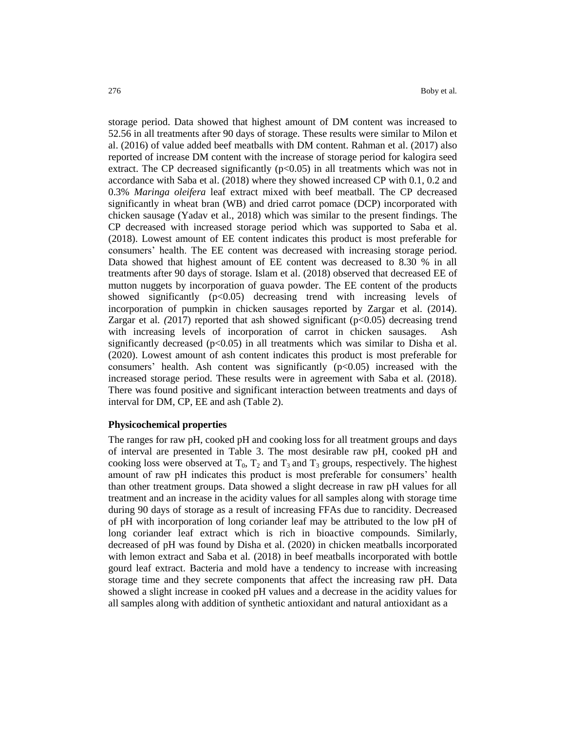storage period. Data showed that highest amount of DM content was increased to 52.56 in all treatments after 90 days of storage. These results were similar to Milon et al. (2016) of value added beef meatballs with DM content. Rahman et al. (2017) also reported of increase DM content with the increase of storage period for kalogira seed extract. The CP decreased significantly  $(p<0.05)$  in all treatments which was not in accordance with Saba et al. (2018) where they showed increased CP with 0.1, 0.2 and 0.3% *Maringa oleifera* leaf extract mixed with beef meatball. The CP decreased significantly in wheat bran (WB) and dried carrot pomace (DCP) incorporated with chicken sausage (Yadav et al., 2018) which was similar to the present findings. The CP decreased with increased storage period which was supported to Saba et al. (2018). Lowest amount of EE content indicates this product is most preferable for consumers' health. The EE content was decreased with increasing storage period. Data showed that highest amount of EE content was decreased to 8.30 % in all treatments after 90 days of storage. Islam et al. (2018) observed that decreased EE of mutton nuggets by incorporation of guava powder. The EE content of the products showed significantly  $(p<0.05)$  decreasing trend with increasing levels of incorporation of pumpkin in chicken sausages reported by Zargar et al. (2014). Zargar et al*. (*2017) reported that ash showed significant (p<0.05) decreasing trend with increasing levels of incorporation of carrot in chicken sausages. Ash significantly decreased ( $p<0.05$ ) in all treatments which was similar to Disha et al. (2020). Lowest amount of ash content indicates this product is most preferable for consumers' health. Ash content was significantly  $(p<0.05)$  increased with the increased storage period. These results were in agreement with Saba et al. (2018). There was found positive and significant interaction between treatments and days of interval for DM, CP, EE and ash (Table 2).

### **Physicochemical properties**

The ranges for raw pH, cooked pH and cooking loss for all treatment groups and days of interval are presented in Table 3. The most desirable raw pH, cooked pH and cooking loss were observed at  $T_0$ ,  $T_2$  and  $T_3$  and  $T_3$  groups, respectively. The highest amount of raw pH indicates this product is most preferable for consumers' health than other treatment groups. Data showed a slight decrease in raw pH values for all treatment and an increase in the acidity values for all samples along with storage time during 90 days of storage as a result of increasing FFAs due to rancidity. Decreased of pH with incorporation of long coriander leaf may be attributed to the low pH of long coriander leaf extract which is rich in bioactive compounds. Similarly, decreased of pH was found by Disha et al. (2020) in chicken meatballs incorporated with lemon extract and Saba et al*.* (2018) in beef meatballs incorporated with bottle gourd leaf extract. Bacteria and mold have a tendency to increase with increasing storage time and they secrete components that affect the increasing raw pH. Data showed a slight increase in cooked pH values and a decrease in the acidity values for all samples along with addition of synthetic antioxidant and natural antioxidant as a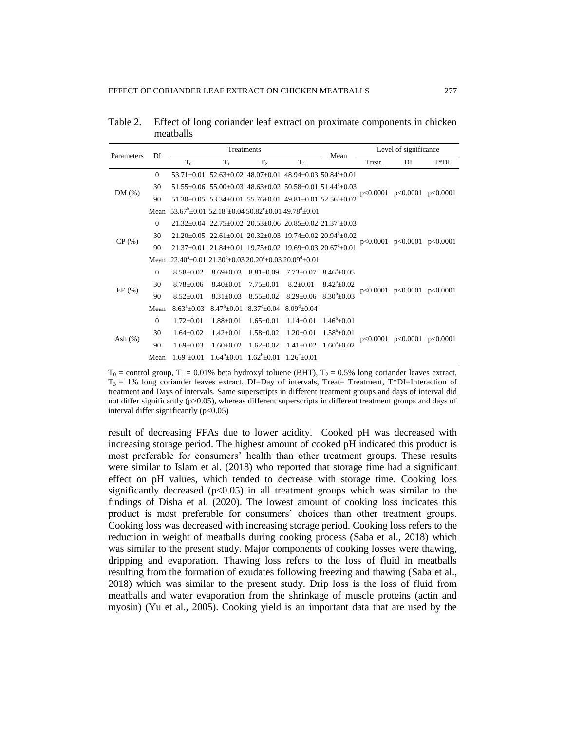Table 2. Effect of long coriander leaf extract on proximate components in chicken meatballs

| Parameters | DI             |                                                                                                | Treatments                                                                                          |                                                       | Mean              | Level of significance                                                                        |        |                                  |                            |
|------------|----------------|------------------------------------------------------------------------------------------------|-----------------------------------------------------------------------------------------------------|-------------------------------------------------------|-------------------|----------------------------------------------------------------------------------------------|--------|----------------------------------|----------------------------|
|            |                | $T_0$                                                                                          | $T_1$                                                                                               | T <sub>2</sub>                                        | $T_3$             |                                                                                              | Treat. | DI                               | $T^*DI$                    |
|            | $\overline{0}$ |                                                                                                | $53.71 \pm 0.01$ $52.63 \pm 0.02$ $48.07 \pm 0.01$ $48.94 \pm 0.03$ $50.84$ <sup>c</sup> $\pm 0.01$ |                                                       |                   |                                                                                              |        |                                  |                            |
|            | 30             |                                                                                                |                                                                                                     |                                                       |                   | $51.55\pm0.06$ $55.00\pm0.03$ $48.63\pm0.02$ $50.58\pm0.01$ $51.44^b\pm0.03$                 |        |                                  | p<0.0001 p<0.0001 p<0.0001 |
| DM(%)      | 90             |                                                                                                |                                                                                                     |                                                       |                   | $51.30\pm0.05$ $53.34\pm0.01$ $55.76\pm0.01$ $49.81\pm0.01$ $52.56^a\pm0.02$                 |        |                                  |                            |
|            | Mean           | $53.67^b$ + 0.01 52.18 <sup>b</sup> + 0.04 50.82 <sup>c</sup> + 0.01 49.78 <sup>d</sup> + 0.01 |                                                                                                     |                                                       |                   |                                                                                              |        |                                  |                            |
| CP(%)      | $\overline{0}$ |                                                                                                |                                                                                                     |                                                       |                   | $21.32+0.04$ $22.75+0.02$ $20.53+0.06$ $20.85+0.02$ $21.37^4+0.03$                           |        |                                  |                            |
|            | 30             |                                                                                                |                                                                                                     |                                                       |                   | $21.20 \pm 0.05$ $22.61 \pm 0.01$ $20.32 \pm 0.03$ $19.74 \pm 0.02$ $20.94^{\circ} \pm 0.02$ |        | $p<0.0001$ $p<0.0001$ $p<0.0001$ |                            |
|            | 90             |                                                                                                | $21.37+0.01$ $21.84+0.01$ $19.75+0.02$ $19.69+0.03$ $20.67^{\circ}+0.01$                            |                                                       |                   |                                                                                              |        |                                  |                            |
|            | Mean           | $22.40^{\circ}+0.01$ $21.30^{\circ}+0.03$ $20.20^{\circ}+0.03$ $20.09^{\circ}+0.01$            |                                                                                                     |                                                       |                   |                                                                                              |        |                                  |                            |
|            | $\Omega$       | $8.58 + 0.02$                                                                                  | $8.69 + 0.03$                                                                                       | $8.81 + 0.09$                                         | $7.73 \pm 0.07$   | $8.46^{\circ}+0.05$                                                                          |        |                                  |                            |
| EE(%)      | 30             | $8.78 \pm 0.06$                                                                                | $8.40 \pm 0.01$                                                                                     | $7.75 \pm 0.01$                                       | $8.2 \pm 0.01$    | $8.42^{\circ}$ ±0.02                                                                         |        | p<0.0001 p<0.0001 p<0.0001       |                            |
|            | 90             | $8.52 \pm 0.01$                                                                                | $8.31 \pm 0.03$                                                                                     | $8.55 \pm 0.02$                                       |                   | $8.29 \pm 0.06$ $8.30^b \pm 0.03$                                                            |        |                                  |                            |
|            | Mean           | $8.63^{\circ}$ ±0.03                                                                           | $8.47^b \pm 0.01$                                                                                   | $8.37^{\circ} \pm 0.04$                               | $8.09^{d} + 0.04$ |                                                                                              |        |                                  |                            |
|            | $\Omega$       | $1.72 \pm 0.01$                                                                                | $1.88 \pm 0.01$                                                                                     | $1.65 \pm 0.01$                                       | $1.14 \pm 0.01$   | $1.46^{\rm b} + 0.01$                                                                        |        |                                  |                            |
| Ash $(%)$  | 30             | $1.64 \pm 0.02$                                                                                | $1.42+0.01$                                                                                         | $1.58 \pm 0.02$                                       | $1.20 \pm 0.01$   | $1.58^a \pm 0.01$                                                                            |        |                                  |                            |
|            | 90             | $1.69 + 0.03$                                                                                  | $1.60+0.02$                                                                                         | $1.62 \pm 0.02$                                       | $1.41 \pm 0.02$   | $1.60^{\circ}+0.02$                                                                          |        | $p<0.0001$ $p<0.0001$ $p<0.0001$ |                            |
|            | Mean           | $1.69^{\circ}+0.01$                                                                            |                                                                                                     | $1.64^{b} + 0.01$ $1.62^{b} + 0.01$ $1.26^{c} + 0.01$ |                   |                                                                                              |        |                                  |                            |

 $T_0$  = control group,  $T_1$  = 0.01% beta hydroxyl toluene (BHT),  $T_2$  = 0.5% long coriander leaves extract,  $T_3 = 1\%$  long coriander leaves extract, DI=Day of intervals, Treat= Treatment, T\*DI=Interaction of treatment and Days of intervals. Same superscripts in different treatment groups and days of interval did not differ significantly (p>0.05), whereas different superscripts in different treatment groups and days of interval differ significantly (p<0.05)

result of decreasing FFAs due to lower acidity. Cooked pH was decreased with increasing storage period. The highest amount of cooked pH indicated this product is most preferable for consumers' health than other treatment groups. These results were similar to Islam et al. (2018) who reported that storage time had a significant effect on pH values, which tended to decrease with storage time. Cooking loss significantly decreased  $(p<0.05)$  in all treatment groups which was similar to the findings of Disha et al. (2020). The lowest amount of cooking loss indicates this product is most preferable for consumers' choices than other treatment groups. Cooking loss was decreased with increasing storage period. Cooking loss refers to the reduction in weight of meatballs during cooking process (Saba et al., 2018) which was similar to the present study. Major components of cooking losses were thawing, dripping and evaporation. Thawing loss refers to the loss of fluid in meatballs resulting from the formation of exudates following freezing and thawing (Saba et al., 2018) which was similar to the present study. Drip loss is the loss of fluid from meatballs and water evaporation from the shrinkage of muscle proteins (actin and myosin) (Yu et al., 2005). Cooking yield is an important data that are used by the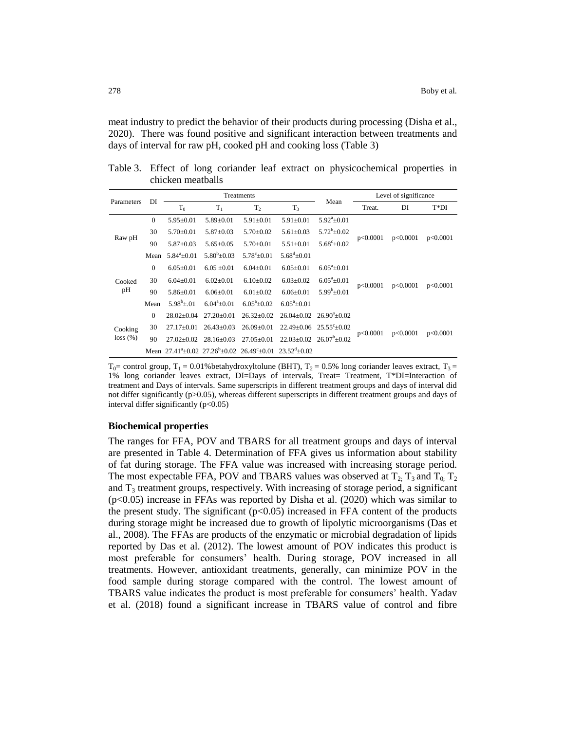meat industry to predict the behavior of their products during processing (Disha et al., 2020). There was found positive and significant interaction between treatments and days of interval for raw pH, cooked pH and cooking loss (Table 3)

Table 3. Effect of long coriander leaf extract on physicochemical properties in chicken meatballs

| Parameters | DI           |                     |                     | Treatments          |                                                                                                                                                                                                                                                                                                                  |                            |          |          | $T^*DI$<br>DI<br>p<0.0001<br>p<0.0001<br>p<0.0001 |  |
|------------|--------------|---------------------|---------------------|---------------------|------------------------------------------------------------------------------------------------------------------------------------------------------------------------------------------------------------------------------------------------------------------------------------------------------------------|----------------------------|----------|----------|---------------------------------------------------|--|
|            |              | $T_0$               | $T_1$               | T <sub>2</sub>      | T <sub>3</sub>                                                                                                                                                                                                                                                                                                   |                            | Treat.   |          |                                                   |  |
| Raw pH     | $\mathbf{0}$ | $5.95 \pm 0.01$     | $5.89 \pm 0.01$     | $5.91 \pm 0.01$     | $5.91 \pm 0.01$                                                                                                                                                                                                                                                                                                  | $5.92^{\mathrm{a}}\pm0.01$ |          |          |                                                   |  |
|            | 30           | $5.70 \pm 0.01$     | $5.87 \pm 0.03$     | $5.70 \pm 0.02$     | $5.61 \pm 0.03$                                                                                                                                                                                                                                                                                                  | $5.72^b \pm 0.02$          |          | p<0.0001 |                                                   |  |
|            | 90           | $5.87 \pm 0.03$     | $5.65+0.05$         | $5.70+0.01$         | $5.51 \pm 0.01$                                                                                                                                                                                                                                                                                                  | $5.68^{\circ}+0.02$        |          |          |                                                   |  |
|            | Mean         | $5.84^{\circ}+0.01$ | $5.80^{b} + 0.03$   | $5.78^{\circ}+0.01$ | $5.68^{\rm d}$ ±0.01                                                                                                                                                                                                                                                                                             |                            |          |          |                                                   |  |
| Cooked     | $\Omega$     | $6.05 \pm 0.01$     | $6.05 \pm 0.01$     | $6.04 \pm 0.01$     | $6.05 \pm 0.01$                                                                                                                                                                                                                                                                                                  | $6.05^{\circ}+0.01$        | p<0.0001 | p<0.0001 |                                                   |  |
|            | 30           | $6.04 \pm 0.01$     | $6.02 \pm 0.01$     | $6.10+0.02$         | $6.03 \pm 0.02$                                                                                                                                                                                                                                                                                                  | $6.05^{\circ}$ ± 0.01      |          |          |                                                   |  |
| pH         | 90           | $5.86 \pm 0.01$     | $6.06 + 0.01$       | $6.01 + 0.02$       | $6.06 + 0.01$                                                                                                                                                                                                                                                                                                    | $5.99^b \pm 0.01$          |          |          |                                                   |  |
|            | Mean         | $5.98^b$ + 01       | $6.04^{\circ}+0.01$ | $6.05^{\circ}+0.02$ | Level of significance<br>Mean<br>p<0.0001<br>$6.05^{\circ}+0.01$<br>$26.90^{\circ}+0.02$<br>$26.04+0.02$<br>$22.49 \pm 0.06$<br>$25.55^{\circ} \pm 0.02$<br>p<0.0001<br>p<0.0001<br>$26.07^b + 0.02$<br>$22.03+0.02$<br>Mean $27.41^{\circ}+0.02$ $27.26^{\circ}+0.02$ $26.49^{\circ}+0.01$ $23.52^{\circ}+0.02$ |                            |          |          |                                                   |  |
|            | $\Omega$     | $28.02+0.04$        | $27.20+0.01$        | $26.32+0.02$        |                                                                                                                                                                                                                                                                                                                  |                            |          |          |                                                   |  |
| Cooking    | 30           | $27.17 \pm 0.01$    | $26.43 \pm 0.03$    | $26.09 \pm 0.01$    |                                                                                                                                                                                                                                                                                                                  |                            |          |          |                                                   |  |
| loss(%)    | 90           | $27.02 \pm 0.02$    | $28.16 \pm 0.03$    | $27.05+0.01$        |                                                                                                                                                                                                                                                                                                                  |                            |          |          |                                                   |  |
|            |              |                     |                     |                     |                                                                                                                                                                                                                                                                                                                  |                            |          |          |                                                   |  |

 $T_0$  = control group,  $T_1$  = 0.01% betahydroxyltolune (BHT),  $T_2$  = 0.5% long coriander leaves extract,  $T_3$  = 1% long coriander leaves extract, DI=Days of intervals, Treat= Treatment, T\*DI=Interaction of treatment and Days of intervals. Same superscripts in different treatment groups and days of interval did not differ significantly (p>0.05), whereas different superscripts in different treatment groups and days of interval differ significantly  $(p<0.05)$ 

# **Biochemical properties**

The ranges for FFA, POV and TBARS for all treatment groups and days of interval are presented in Table 4. Determination of FFA gives us information about stability of fat during storage. The FFA value was increased with increasing storage period. The most expectable FFA, POV and TBARS values was observed at  $T_2$ ;  $T_3$  and  $T_0$ ;  $T_2$ and  $T_3$  treatment groups, respectively. With increasing of storage period, a significant  $(p<0.05)$  increase in FFAs was reported by Disha et al. (2020) which was similar to the present study. The significant  $(p<0.05)$  increased in FFA content of the products during storage might be increased due to growth of lipolytic microorganisms (Das et al., 2008). The FFAs are products of the enzymatic or microbial degradation of lipids reported by Das et al*.* (2012). The lowest amount of POV indicates this product is most preferable for consumers' health. During storage, POV increased in all treatments. However, antioxidant treatments, generally, can minimize POV in the food sample during storage compared with the control. The lowest amount of TBARS value indicates the product is most preferable for consumers' health. Yadav et al. (2018) found a significant increase in TBARS value of control and fibre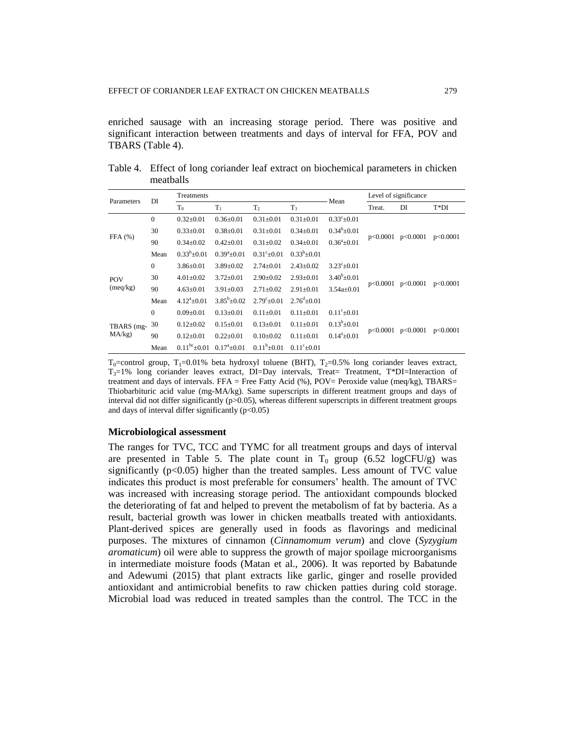enriched sausage with an increasing storage period. There was positive and significant interaction between treatments and days of interval for FFA, POV and TBARS (Table 4).

| Parameters              | DI           | Treatments         |                       |                       |                       | Mean                  |          | Level of significance |          |
|-------------------------|--------------|--------------------|-----------------------|-----------------------|-----------------------|-----------------------|----------|-----------------------|----------|
|                         |              | $T_0$              | $T_1$                 | T <sub>2</sub>        | T <sub>3</sub>        |                       | Treat.   | DI                    | $T^*DI$  |
| FFA(%)                  | $\mathbf{0}$ | $0.32 \pm 0.01$    | $0.36 \pm 0.01$       | $0.31 \pm 0.01$       | $0.31 \pm 0.01$       | $0.33^{\circ}$ ± 0.01 |          |                       |          |
|                         | 30           | $0.33 \pm 0.01$    | $0.38 + 0.01$         | $0.31 \pm 0.01$       | $0.34 \pm 0.01$       | $0.34^b \pm 0.01$     |          | p<0.0001              | p<0.0001 |
|                         | 90           | $0.34 \pm 0.02$    | $0.42 + 0.01$         | $0.31 \pm 0.02$       | $0.34 + 0.01$         | $0.36^{\circ}+0.01$   | p<0.0001 |                       |          |
|                         | Mean         | $0.33^b \pm 0.01$  | $0.39^a \pm 0.01$     | $0.31^{\circ}$ ± 0.01 | $0.33^{b} + 0.01$     |                       |          |                       |          |
|                         | $\mathbf{0}$ | $3.86 \pm 0.01$    | $3.89 \pm 0.02$       | $2.74 \pm 0.01$       | $2.43 \pm 0.02$       | $3.23^{\circ}+0.01$   |          | p<0.0001              | p<0.0001 |
| <b>POV</b>              | 30           | $4.01 \pm 0.02$    | $3.72 \pm 0.01$       | $2.90 \pm 0.02$       | $2.93+0.01$           | $3.40^{b} + 0.01$     |          |                       |          |
| (meq/kg)                | 90           | $4.63 \pm 0.01$    | $3.91 \pm 0.03$       | $2.71 \pm 0.02$       | $2.91 \pm 0.01$       | $3.54a+0.01$          | p<0.0001 |                       |          |
|                         | Mean         | $4.12^{a} + 0.01$  | $3.85^{\rm b} + 0.02$ | $2.79^{\circ}+0.01$   | $2.76^{d} + 0.01$     |                       |          |                       |          |
|                         | $\mathbf{0}$ | $0.09 \pm 0.01$    | $0.13 + 0.01$         | $0.11 \pm 0.01$       | $0.11 + 0.01$         | $0.11^{\circ}$ + 0.01 |          | p<0.0001              |          |
| TBARS (mg-<br>$MA/kg$ ) | 30           | $0.12 \pm 0.02$    | $0.15 \pm 0.01$       | $0.13 \pm 0.01$       | $0.11 \pm 0.01$       | $0.13^b \pm 0.01$     | p<0.0001 |                       | p<0.0001 |
|                         | 90           | $0.12 \pm 0.01$    | $0.22 \pm 0.01$       | $0.10+0.02$           | $0.11 + 0.01$         | $0.14^a + 0.01$       |          |                       |          |
|                         | Mean         | $0.11^{bc}$ ± 0.01 | $0.17^{\rm a}$ ± 0.01 | $0.11^b \pm 0.01$     | $0.11^{\circ}$ + 0.01 |                       |          |                       |          |

Table 4. Effect of long coriander leaf extract on biochemical parameters in chicken meatballs

 $T_0$ =control group,  $T_1$ =0.01% beta hydroxyl toluene (BHT),  $T_2$ =0.5% long coriander leaves extract,  $T_3=1\%$  long coriander leaves extract, DI=Day intervals, Treat= Treatment, T\*DI=Interaction of treatment and days of intervals. FFA = Free Fatty Acid  $(\%)$ , POV= Peroxide value (meq/kg), TBARS= Thiobarbituric acid value (mg-MA/kg). Same superscripts in different treatment groups and days of interval did not differ significantly (p>0.05), whereas different superscripts in different treatment groups and days of interval differ significantly  $(p<0.05)$ 

#### **Microbiological assessment**

The ranges for TVC, TCC and TYMC for all treatment groups and days of interval are presented in Table 5. The plate count in  $T_0$  group (6.52 logCFU/g) was significantly  $(p<0.05)$  higher than the treated samples. Less amount of TVC value indicates this product is most preferable for consumers' health. The amount of TVC was increased with increasing storage period. The antioxidant compounds blocked the deteriorating of fat and helped to prevent the metabolism of fat by bacteria. As a result, bacterial growth was lower in chicken meatballs treated with antioxidants. Plant-derived spices are generally used in foods as flavorings and medicinal purposes. The mixtures of cinnamon (*Cinnamomum verum*) and clove (*Syzygium aromaticum*) oil were able to suppress the growth of major spoilage microorganisms in intermediate moisture foods (Matan et al., 2006). It was reported by Babatunde and Adewumi (2015) that plant extracts like garlic, ginger and roselle provided antioxidant and antimicrobial benefits to raw chicken patties during cold storage. Microbial load was reduced in treated samples than the control. The TCC in the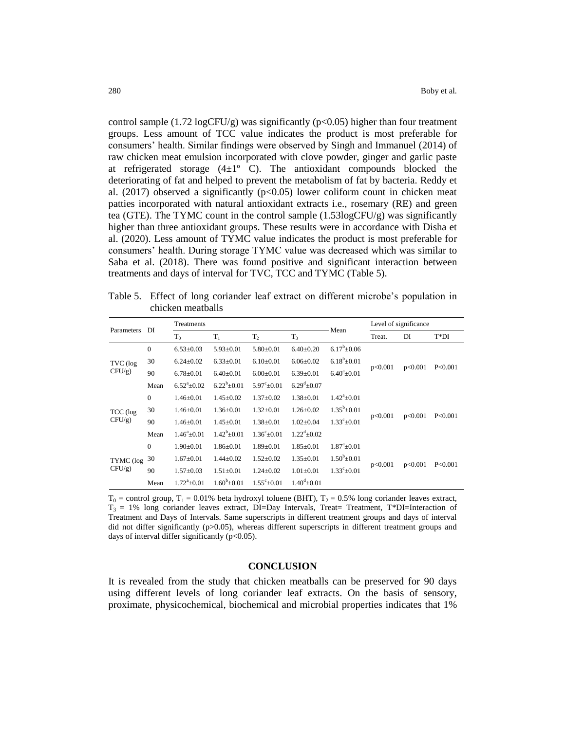control sample  $(1.72 \log CFU/g)$  was significantly  $(p<0.05)$  higher than four treatment groups. Less amount of TCC value indicates the product is most preferable for consumers' health. Similar findings were observed by Singh and Immanuel (2014) of raw chicken meat emulsion incorporated with clove powder, ginger and garlic paste at refrigerated storage  $(4\pm 1^{\circ}$  C). The antioxidant compounds blocked the deteriorating of fat and helped to prevent the metabolism of fat by bacteria. Reddy et al. (2017) observed a significantly  $(p<0.05)$  lower coliform count in chicken meat patties incorporated with natural antioxidant extracts i.e., rosemary (RE) and green tea (GTE). The TYMC count in the control sample  $(1.53\log CFU/g)$  was significantly higher than three antioxidant groups. These results were in accordance with Disha et al. (2020). Less amount of TYMC value indicates the product is most preferable for consumers' health. During storage TYMC value was decreased which was similar to Saba et al. (2018). There was found positive and significant interaction between treatments and days of interval for TVC, TCC and TYMC (Table 5).

Table 5. Effect of long coriander leaf extract on different microbe's population in chicken meatballs

| Parameters             | DI           | Treatments                 |                   | Mean                    |                          | Level of significance      |         |         |           |
|------------------------|--------------|----------------------------|-------------------|-------------------------|--------------------------|----------------------------|---------|---------|-----------|
|                        |              | $T_0$                      | $T_1$             | T <sub>2</sub>          | $T_3$                    |                            | Treat.  | DI      | $T^*DI$   |
|                        | $\mathbf{0}$ | $6.53 \pm 0.03$            | $5.93 \pm 0.01$   | $5.80 \pm 0.01$         | $6.40 \pm 0.20$          | $6.17^b + 0.06$            |         |         |           |
| TVC (log<br>$CFU/g$ )  | 30           | $6.24 + 0.02$              | $6.33+0.01$       | $6.10+0.01$             | $6.06 + 0.02$            | $6.18^{b} + 0.01$          |         |         | P < 0.001 |
|                        | 90           | $6.78 \pm 0.01$            | $6.40 \pm 0.01$   | $6.00 \pm 0.01$         | $6.39 \pm 0.01$          | $6.40^a \pm 0.01$          | p<0.001 | p<0.001 |           |
|                        | Mean         | $6.52^{a} + 0.02$          | $6.22^{b} + 0.01$ | $5.97^{\circ}+0.01$     | $6.29^{d} + 0.07$        |                            |         |         |           |
|                        | $\mathbf{0}$ | $1.46 \pm 0.01$            | $1.45 \pm 0.02$   | $1.37 \pm 0.02$         | $1.38 \pm 0.01$          | $1.42^{\mathrm{a}}\pm0.01$ |         | p<0.001 | P<0.001   |
| TCC (log               | 30           | $1.46 \pm 0.01$            | $1.36 \pm 0.01$   | $1.32 \pm 0.01$         | $1.26 \pm 0.02$          | $1.35^b \pm 0.01$          |         |         |           |
| $CFU/g$ )              | 90           | $1.46 \pm 0.01$            | $1.45 \pm 0.01$   | $1.38 \pm 0.01$         | $1.02 \pm 0.04$          | $1.33^{\circ} \pm 0.01$    | p<0.001 |         |           |
|                        | Mean         | $1.46^a \pm 0.01$          | $1.42^b + 0.01$   | $1.36^{\circ} \pm 0.01$ | $1.22^{\text{d}} + 0.02$ |                            |         |         |           |
|                        | $\theta$     | $1.90 \pm 0.01$            | $1.86 \pm 0.01$   | $1.89 \pm 0.01$         | $1.85 \pm 0.01$          | $1.87^{\circ}+0.01$        |         |         |           |
| TYMC (log<br>$CFU/g$ ) | 30           | $1.67 \pm 0.01$            | $1.44 \pm 0.02$   | $1.52 \pm 0.02$         | $1.35 \pm 0.01$          | $1.50^b \pm 0.01$          |         |         |           |
|                        | 90           | $1.57+0.03$                | $1.51 + 0.01$     | $1.24 + 0.02$           | $1.01 \pm 0.01$          | $1.33^{\circ}$ ±0.01       | p<0.001 | p<0.001 | P < 0.001 |
|                        | Mean         | $1.72^{\mathrm{a}} + 0.01$ | $1.60^{b} + 0.01$ | $1.55^{\circ}+0.01$     | $1.40^{d} + 0.01$        |                            |         |         |           |

 $T_0$  = control group,  $T_1$  = 0.01% beta hydroxyl toluene (BHT),  $T_2$  = 0.5% long coriander leaves extract,  $T_3 = 1\%$  long coriander leaves extract, DI=Day Intervals, Treat= Treatment, T\*DI=Interaction of Treatment and Days of Intervals. Same superscripts in different treatment groups and days of interval did not differ significantly (p>0.05), whereas different superscripts in different treatment groups and days of interval differ significantly (p<0.05).

#### **CONCLUSION**

It is revealed from the study that chicken meatballs can be preserved for 90 days using different levels of long coriander leaf extracts. On the basis of sensory, proximate, physicochemical, biochemical and microbial properties indicates that 1%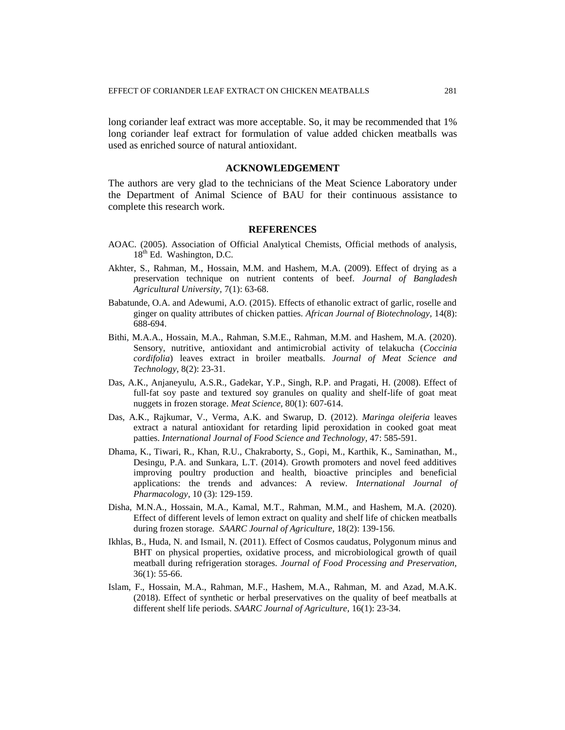long coriander leaf extract was more acceptable. So, it may be recommended that 1% long coriander leaf extract for formulation of value added chicken meatballs was used as enriched source of natural antioxidant.

### **ACKNOWLEDGEMENT**

The authors are very glad to the technicians of the Meat Science Laboratory under the Department of Animal Science of BAU for their continuous assistance to complete this research work.

#### **REFERENCES**

- AOAC. (2005). Association of Official Analytical Chemists, Official methods of analysis,  $18<sup>th</sup>$  Ed. Washington, D.C.
- Akhter, S., Rahman, M., Hossain, M.M. and Hashem, M.A. (2009). Effect of drying as a preservation technique on nutrient contents of beef. *Journal of Bangladesh Agricultural University,* 7(1): 63-68.
- Babatunde, O.A. and Adewumi, A.O. (2015). Effects of ethanolic extract of garlic, roselle and ginger on quality attributes of chicken patties. *African Journal of Biotechnology,* 14(8): 688-694.
- Bithi, M.A.A., Hossain, M.A., Rahman, S.M.E., Rahman, M.M. and Hashem, M.A. (2020). Sensory, nutritive, antioxidant and antimicrobial activity of telakucha (*Coccinia cordifolia*) leaves extract in broiler meatballs. *Journal of Meat Science and Technology,* 8(2): 23-31.
- Das, A.K., Anjaneyulu, A.S.R., Gadekar, Y.P., Singh, R.P. and Pragati, H. (2008). Effect of full-fat soy paste and textured soy granules on quality and shelf-life of goat meat nuggets in frozen storage. *Meat Science,* 80(1): 607-614.
- Das, A.K., Rajkumar, V., Verma, A.K. and Swarup, D. (2012). *Maringa oleiferia* leaves extract a natural antioxidant for retarding lipid peroxidation in cooked goat meat patties. *International Journal of Food Science and Technology,* 47: 585-591.
- Dhama, K., Tiwari, R., Khan, R.U., Chakraborty, S., Gopi, M., Karthik, K., Saminathan, M., Desingu, P.A. and Sunkara, L.T. (2014). Growth promoters and novel feed additives improving poultry production and health, bioactive principles and beneficial applications: the trends and advances: A review. *International Journal of Pharmacology,* 10 (3): 129-159.
- Disha, M.N.A., Hossain, M.A., Kamal, M.T., Rahman, M.M., and Hashem, M.A. (2020). Effect of different levels of lemon extract on quality and shelf life of chicken meatballs during frozen storage. *SAARC Journal of Agriculture,* 18(2): 139-156.
- Ikhlas, B., Huda, N. and Ismail, N. (2011). Effect of Cosmos caudatus, Polygonum minus and BHT on physical properties, oxidative process, and microbiological growth of quail meatball during refrigeration storages. *Journal of Food Processing and Preservation,*  36(1): 55-66.
- Islam, F., Hossain, M.A., Rahman, M.F., Hashem, M.A., Rahman, M. and Azad, M.A.K. (2018). Effect of synthetic or herbal preservatives on the quality of beef meatballs at different shelf life periods. *SAARC Journal of Agriculture,* 16(1): 23-34.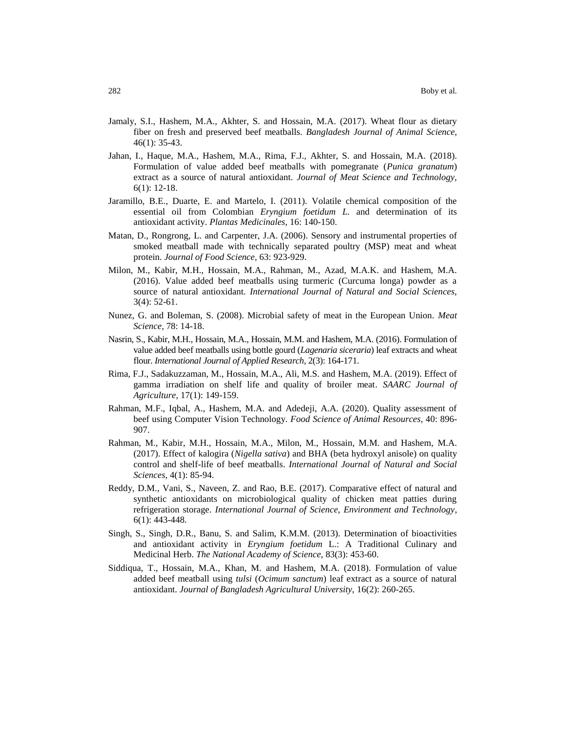- Jamaly, S.I., Hashem, M.A., Akhter, S. and Hossain, M.A. (2017). Wheat flour as dietary fiber on fresh and preserved beef meatballs. *Bangladesh Journal of Animal Science,* 46(1): 35-43.
- Jahan, I., Haque, M.A., Hashem, M.A., Rima, F.J., Akhter, S. and Hossain, M.A. (2018). Formulation of value added beef meatballs with pomegranate (*Punica granatum*) extract as a source of natural antioxidant. *Journal of Meat Science and Technology,* 6(1): 12-18.
- Jaramillo, B.E., Duarte, E. and Martelo, I. (2011). Volatile chemical composition of the essential oil from Colombian *Eryngium foetidum L.* and determination of its antioxidant activity. *Plantas Medicinales*, 16: 140-150.
- Matan, D., Rongrong, L. and Carpenter, J.A. (2006). Sensory and instrumental properties of smoked meatball made with technically separated poultry (MSP) meat and wheat protein. *Journal of Food Science,* 63: 923-929.
- Milon, M., Kabir, M.H., Hossain, M.A., Rahman, M., Azad, M.A.K. and Hashem, M.A. (2016). Value added beef meatballs using turmeric (Curcuma longa) powder as a source of natural antioxidant. *International Journal of Natural and Social Sciences,* 3(4): 52-61.
- Nunez, G. and Boleman, S. (2008). Microbial safety of meat in the European Union*. Meat Science,* 78: 14-18.
- Nasrin, S., Kabir, M.H., Hossain, M.A., Hossain, M.M. and Hashem, M.A. (2016). Formulation of value added beef meatballs using bottle gourd (*Lagenaria siceraria*) leaf extracts and wheat flour. *International Journal of Applied Research,* 2(3): 164-171.
- Rima, F.J., Sadakuzzaman, M., Hossain, M.A., Ali, M.S. and Hashem, M.A. (2019). Effect of gamma irradiation on shelf life and quality of broiler meat. *SAARC Journal of Agriculture,* 17(1): 149-159.
- Rahman, M.F., Iqbal, A., Hashem, M.A. and Adedeji, A.A. (2020). Quality assessment of beef using Computer Vision Technology. *Food Science of Animal Resources,* 40: 896- 907.
- Rahman, M., Kabir, M.H., Hossain, M.A., Milon, M., Hossain, M.M. and Hashem, M.A. (2017). Effect of kalogira (*Nigella sativa*) and BHA (beta hydroxyl anisole) on quality control and shelf-life of beef meatballs. *International Journal of Natural and Social Sciences,* 4(1): 85-94.
- Reddy, D.M., Vani, S., Naveen, Z. and Rao, B.E. (2017). Comparative effect of natural and synthetic antioxidants on microbiological quality of chicken meat patties during refrigeration storage. *International Journal of Science, Environment and Technology,* 6(1): 443-448.
- Singh, S., Singh, D.R., Banu, S. and Salim, K.M.M. (2013). Determination of bioactivities and antioxidant activity in *Eryngium foetidum* L.: A Traditional Culinary and Medicinal Herb. *The National Academy of Science,* 83(3): 453-60.
- Siddiqua, T., Hossain, M.A., Khan, M. and Hashem, M.A. (2018). Formulation of value added beef meatball using *tulsi* (*Ocimum sanctum*) leaf extract as a source of natural antioxidant. *Journal of Bangladesh Agricultural University,* 16(2): 260-265.